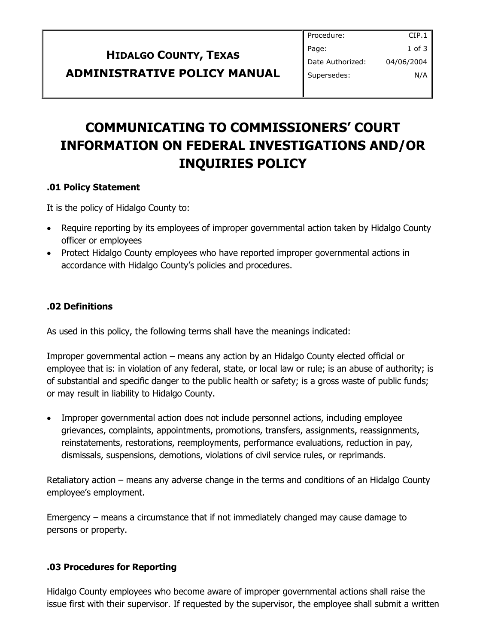| <b>HIDALGO COUNTY, TEXAS</b>        | Pa<br>D         |
|-------------------------------------|-----------------|
| <b>ADMINISTRATIVE POLICY MANUAL</b> | $\mathsf{I}$ su |

# **COMMUNICATING TO COMMISSIONERS' COURT INFORMATION ON FEDERAL INVESTIGATIONS AND/OR INQUIRIES POLICY**

### **.01 Policy Statement**

It is the policy of Hidalgo County to:

- Require reporting by its employees of improper governmental action taken by Hidalgo County officer or employees
- Protect Hidalgo County employees who have reported improper governmental actions in accordance with Hidalgo County's policies and procedures.

## **.02 Definitions**

As used in this policy, the following terms shall have the meanings indicated:

Improper governmental action – means any action by an Hidalgo County elected official or employee that is: in violation of any federal, state, or local law or rule; is an abuse of authority; is of substantial and specific danger to the public health or safety; is a gross waste of public funds; or may result in liability to Hidalgo County.

 Improper governmental action does not include personnel actions, including employee grievances, complaints, appointments, promotions, transfers, assignments, reassignments, reinstatements, restorations, reemployments, performance evaluations, reduction in pay, dismissals, suspensions, demotions, violations of civil service rules, or reprimands.

Retaliatory action – means any adverse change in the terms and conditions of an Hidalgo County employee's employment.

Emergency – means a circumstance that if not immediately changed may cause damage to persons or property.

### **.03 Procedures for Reporting**

Hidalgo County employees who become aware of improper governmental actions shall raise the issue first with their supervisor. If requested by the supervisor, the employee shall submit a written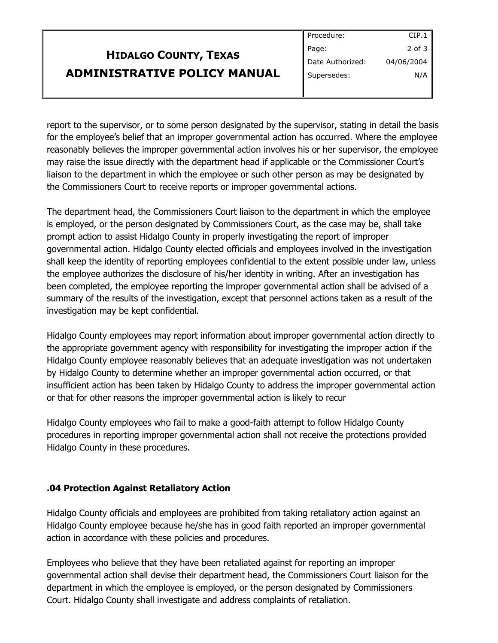| <b>HIDALGO COUNTY, TEXAS</b>        | $ $ Page:        |
|-------------------------------------|------------------|
|                                     | Date Authorized: |
| <b>ADMINISTRATIVE POLICY MANUAL</b> | Supersedes:      |

Procedure: CIP.1 2 of 3 04/06/2004 N/A

report to the supervisor, or to some person designated by the supervisor, stating in detail the basis for the employee's belief that an improper governmental action has occurred. Where the employee reasonably believes the improper governmental action involves his or her supervisor, the employee may raise the issue directly with the department head if applicable or the Commissioner Court's liaison to the department in which the employee or such other person as may be designated by the Commissioners Court to receive reports or improper governmental actions.

The department head, the Commissioners Court liaison to the department in which the employee is employed, or the person designated by Commissioners Court, as the case may be, shall take prompt action to assist Hidalgo County in properly investigating the report of improper governmental action. Hidalgo County elected officials and employees involved in the investigation shall keep the identity of reporting employees confidential to the extent possible under law, unless the employee authorizes the disclosure of his/her identity in writing. After an investigation has been completed, the employee reporting the improper governmental action shall be advised of a summary of the results of the investigation, except that personnel actions taken as a result of the investigation may be kept confidential.

Hidalgo County employees may report information about improper governmental action directly to the appropriate government agency with responsibility for investigating the improper action if the Hidalgo County employee reasonably believes that an adequate investigation was not undertaken by Hidalgo County to determine whether an improper governmental action occurred, or that insufficient action has been taken by Hidalgo County to address the improper governmental action or that for other reasons the improper governmental action is likely to recur

Hidalgo County employees who fail to make a good-faith attempt to follow Hidalgo County procedures in reporting improper governmental action shall not receive the protections provided Hidalgo County in these procedures.

### **.04 Protection Against Retaliatory Action**

Hidalgo County officials and employees are prohibited from taking retaliatory action against an Hidalgo County employee because he/she has in good faith reported an improper governmental action in accordance with these policies and procedures.

Employees who believe that they have been retaliated against for reporting an improper governmental action shall devise their department head, the Commissioners Court liaison for the department in which the employee is employed, or the person designated by Commissioners Court. Hidalgo County shall investigate and address complaints of retaliation.